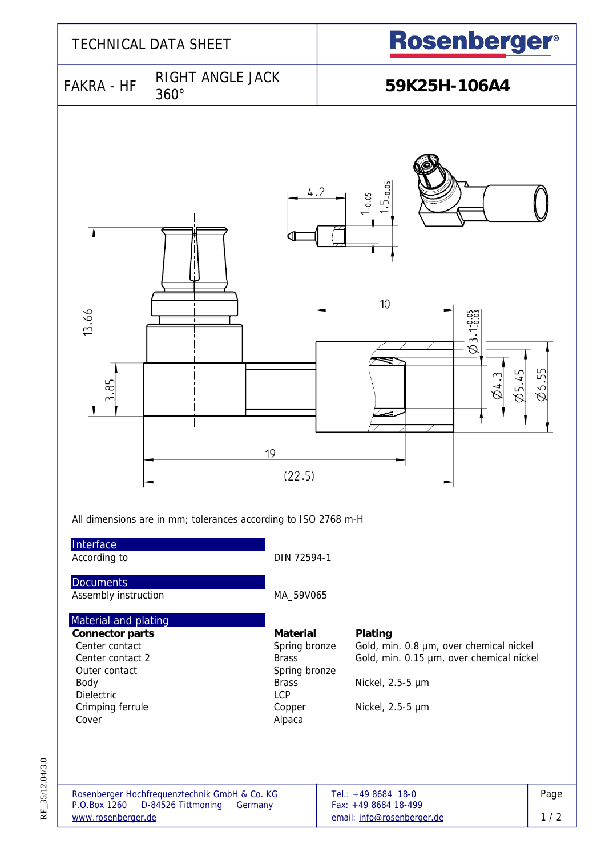

RF\_35/12.04/3.0 RF\_35/12.04/3.0